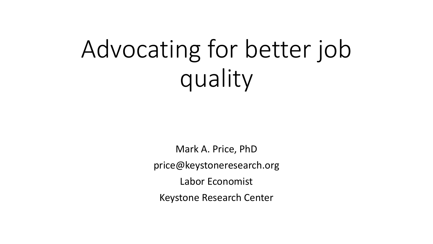# Advocating for better job quality

Mark A. Price, PhD price@keystoneresearch.org Labor Economist Keystone Research Center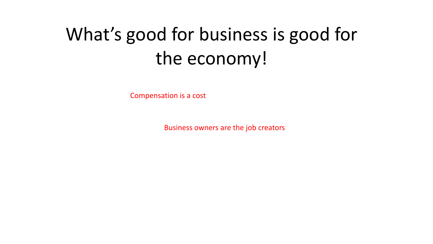# What's good for business is good for the economy!

Compensation is a cost

Business owners are the job creators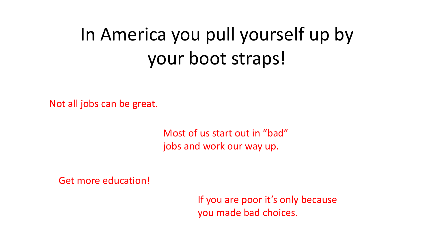# In America you pull yourself up by your boot straps!

Not all jobs can be great.

Most of us start out in "bad" jobs and work our way up.

Get more education!

If you are poor it's only because you made bad choices.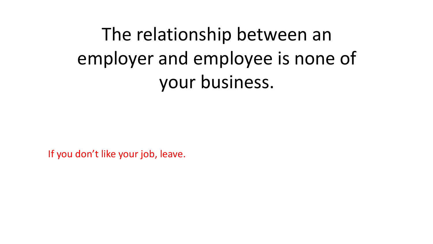The relationship between an employer and employee is none of your business.

If you don't like your job, leave.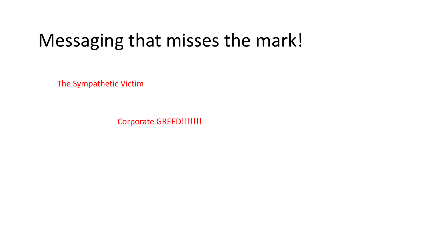### Messaging that misses the mark!

The Sympathetic Victim

Corporate GREED!!!!!!!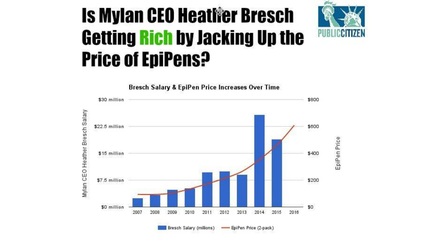# **Is Mylan CEO Heatlier Bresch Getting Rich by Jacking Up the Price of EpiPens?**



**Bresch Salary & EpiPen Price Increases Over Time** \$30 million \$800 Mylan CEO Heather Bresch Salary \$600 \$22.5 million EpiPen Price \$400 \$15 million \$7.5 million \$200 \$0 million \$0 2008 2009 2010 2011 2012 2013 2014 2015 2007 2016

- EpiPen Price (2-pack)

Bresch Salary (millions)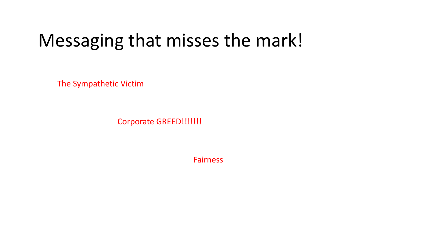### Messaging that misses the mark!

The Sympathetic Victim

Corporate GREED!!!!!!!

Fairness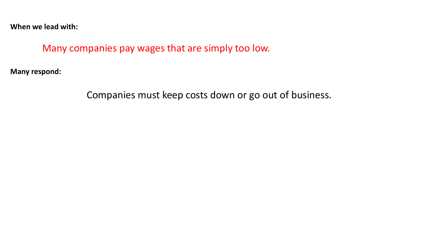Many companies pay wages that are simply too low.

**Many respond:** 

Companies must keep costs down or go out of business.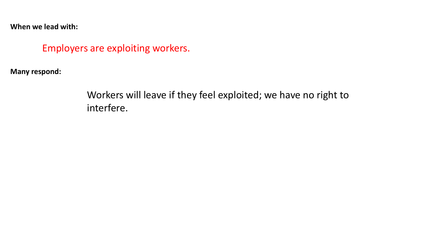#### Employers are exploiting workers.

**Many respond:** 

Workers will leave if they feel exploited; we have no right to interfere.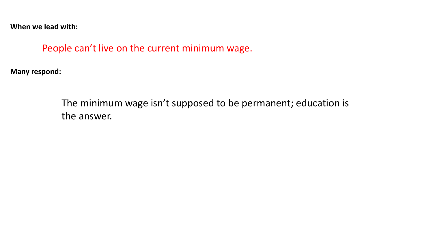People can't live on the current minimum wage.

**Many respond:** 

The minimum wage isn't supposed to be permanent; education is the answer.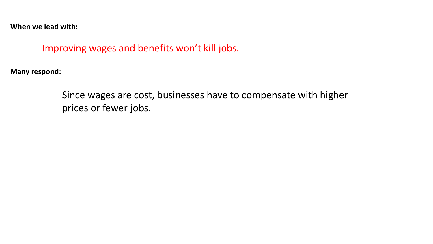Improving wages and benefits won't kill jobs.

**Many respond:** 

Since wages are cost, businesses have to compensate with higher prices or fewer jobs.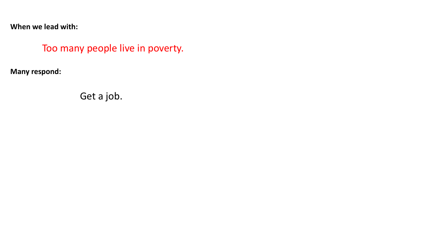#### Too many people live in poverty.

**Many respond:** 

Get a job.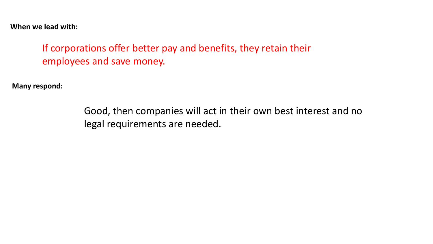If corporations offer better pay and benefits, they retain their employees and save money.

**Many respond:** 

Good, then companies will act in their own best interest and no legal requirements are needed.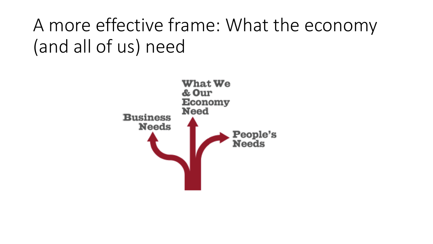# A more effective frame: What the economy (and all of us) need

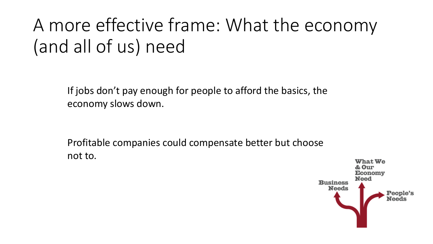# A more effective frame: What the economy (and all of us) need

If jobs don't pay enough for people to afford the basics, the economy slows down.

Profitable companies could compensate better but choose not to.

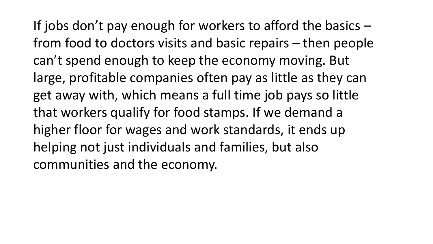If jobs don't pay enough for workers to afford the basics – from food to doctors visits and basic repairs – then people can't spend enough to keep the economy moving. But large, profitable companies often pay as little as they can get away with, which means a full time job pays so little that workers qualify for food stamps. If we demand a higher floor for wages and work standards, it ends up helping not just individuals and families, but also communities and the economy.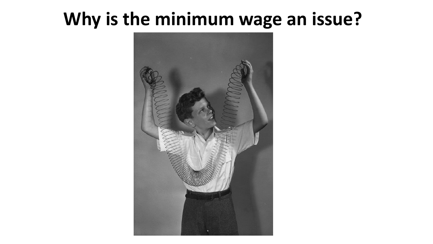### **Why is the minimum wage an issue?**

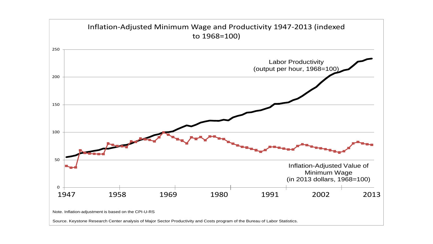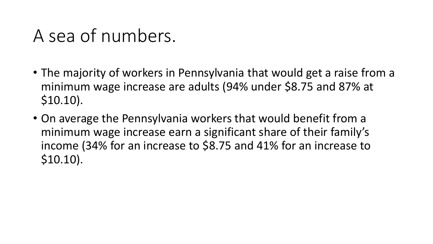### A sea of numbers.

- The majority of workers in Pennsylvania that would get a raise from a minimum wage increase are adults (94% under \$8.75 and 87% at \$10.10).
- On average the Pennsylvania workers that would benefit from a minimum wage increase earn a significant share of their family's income (34% for an increase to \$8.75 and 41% for an increase to \$10.10).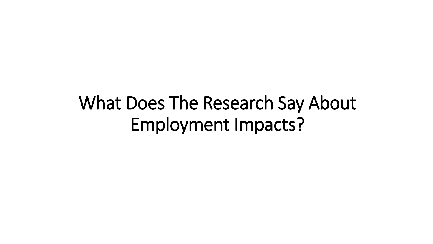What Does The Research Say About Employment Impacts?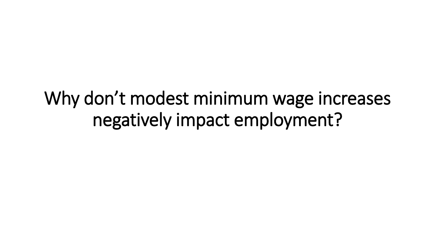Why don't modest minimum wage increases negatively impact employment?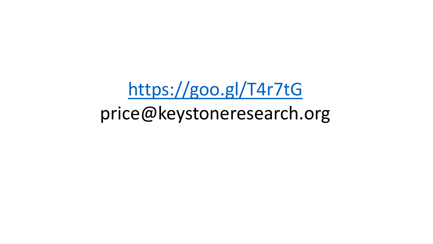<https://goo.gl/T4r7tG> price@keystoneresearch.org